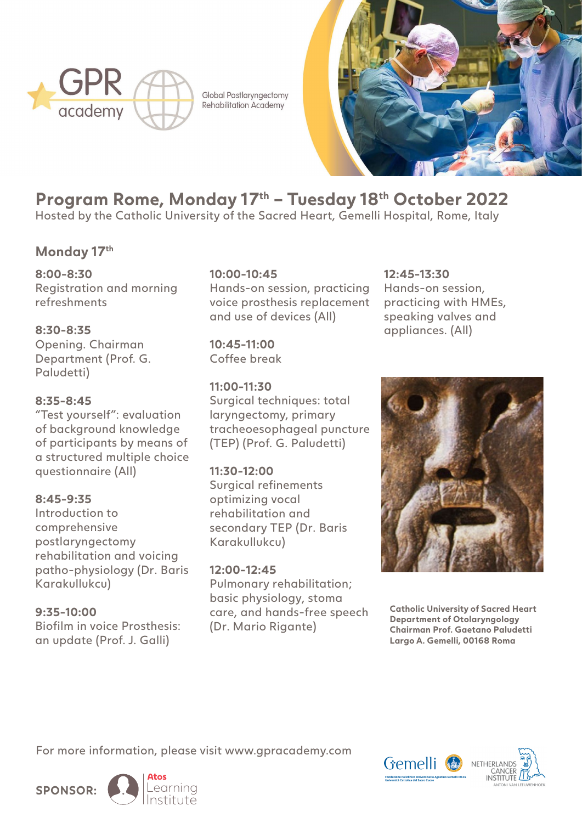

Global Postlaryngectomy **Rehabilitation Academy** 



# **Program Rome, Monday 17th – Tuesday 18th October 2022**

Hosted by the Catholic University of the Sacred Heart, Gemelli Hospital, Rome, Italy

# **Monday 17th**

**8:00-8:30** Registration and morning refreshments

**8:30-8:35** Opening. Chairman Department (Prof. G. Paludetti)

## **8:35-8:45**

"Test yourself": evaluation of background knowledge of participants by means of a structured multiple choice questionnaire (All)

### **8:45-9:35**

Introduction to comprehensive postlaryngectomy rehabilitation and voicing patho-physiology (Dr. Baris Karakullukcu)

**9:35-10:00** Biofilm in voice Prosthesis: an update (Prof. J. Galli)

## **10:00-10:45**

Hands-on session, practicing voice prosthesis replacement and use of devices (All)

**10:45-11:00** Coffee break

## **11:00-11:30**

Surgical techniques: total laryngectomy, primary tracheoesophageal puncture (TEP) (Prof. G. Paludetti)

**11:30-12:00** Surgical refinements

optimizing vocal rehabilitation and secondary TEP (Dr. Baris Karakullukcu)

**12:00-12:45**

Pulmonary rehabilitation; basic physiology, stoma care, and hands-free speech (Dr. Mario Rigante)

**12:45-13:30** Hands-on session, practicing with HMEs, speaking valves and appliances. (All)



**Catholic University of Sacred Heart Department of Otolaryngology Chairman Prof. Gaetano Paludetti Largo A. Gemelli, 00168 Roma** 

For more information, please visit www.gpracademy.com



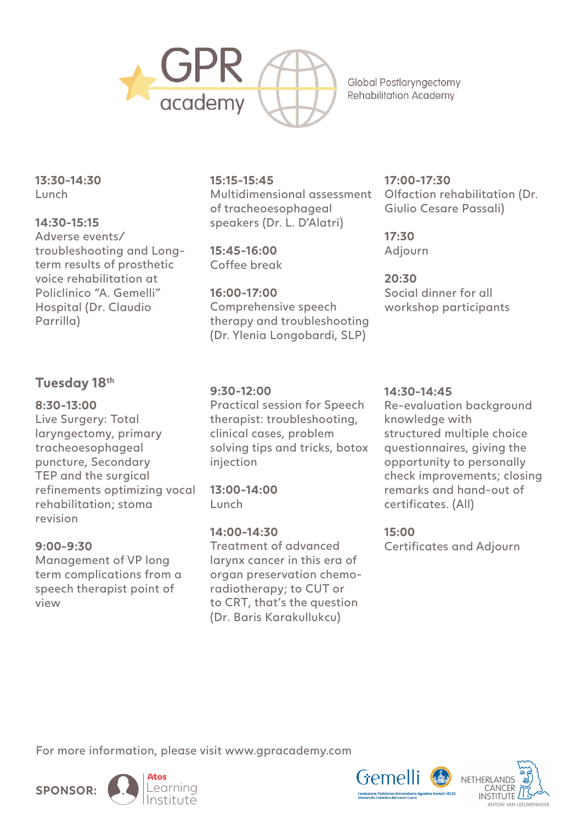

**Global Postlaryngectomy Rehabilitation Academy** 

**13:30-14:30** Lunch

### **14:30-15:15**

Adverse events/ troubleshooting and Longterm results of prosthetic voice rehabilitation at Policlinico "A. Gemelli" Hospital (Dr. Claudio Parrilla)

# **Tuesday 18th**

## **8:30-13:00**

Live Surgery: Total laryngectomy, primary tracheoesophageal puncture, Secondary TEP and the surgical refinements optimizing vocal rehabilitation; stoma revision

## **9:00-9:30**

Management of VP long term complications from a speech therapist point of view

#### **15:15-15:45**

Multidimensional assessment of tracheoesophageal speakers (Dr. L. D'Alatri)

**15:45-16:00** Coffee break

**9:30-12:00**

injection

Lunch

**13:00-14:00**

**14:00-14:30**

**16:00-17:00** Comprehensive speech therapy and troubleshooting (Dr. Ylenia Longobardi, SLP)

Practical session for Speech therapist: troubleshooting, clinical cases, problem

solving tips and tricks, botox

Treatment of advanced larynx cancer in this era of organ preservation chemoradiotherapy; to CUT or to CRT, that's the question (Dr. Baris Karakullukcu)

**17:00-17:30** Olfaction rehabilitation (Dr. Giulio Cesare Passali)

**17:30** Adjourn

**20:30** Social dinner for all workshop participants

### **14:30-14:45**

Re-evaluation background knowledge with structured multiple choice questionnaires, giving the opportunity to personally check improvements; closing remarks and hand-out of certificates. (All)

**15:00** Certificates and Adjourn

For more information, please visit www.gpracademy.com